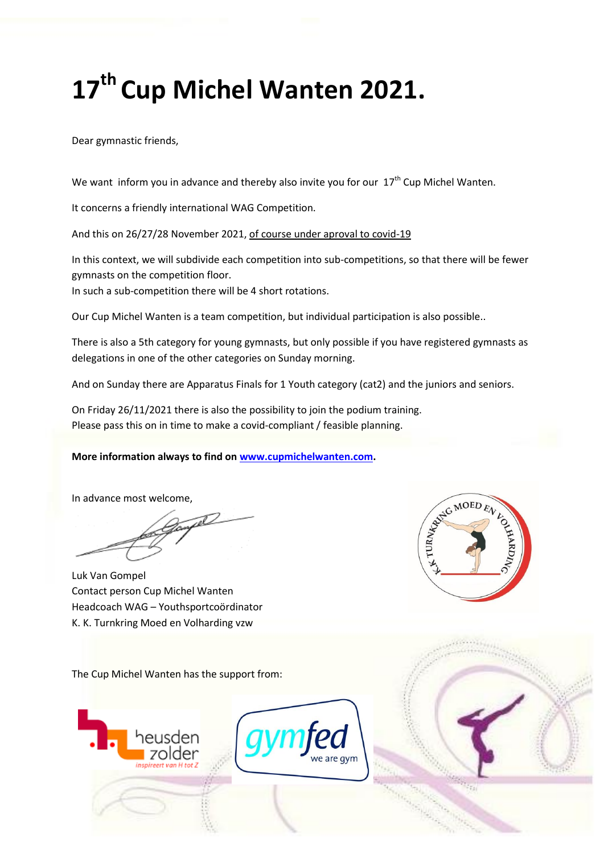# **17 th Cup Michel Wanten 2021.**

Dear gymnastic friends,

We want inform you in advance and thereby also invite you for our  $17<sup>th</sup>$  Cup Michel Wanten.

It concerns a friendly international WAG Competition.

And this on 26/27/28 November 2021, of course under aproval to covid-19

In this context, we will subdivide each competition into sub-competitions, so that there will be fewer gymnasts on the competition floor.

In such a sub-competition there will be 4 short rotations.

Our Cup Michel Wanten is a team competition, but individual participation is also possible..

There is also a 5th category for young gymnasts, but only possible if you have registered gymnasts as delegations in one of the other categories on Sunday morning.

And on Sunday there are Apparatus Finals for 1 Youth category (cat2) and the juniors and seniors.

On Friday 26/11/2021 there is also the possibility to join the podium training. Please pass this on in time to make a covid-compliant / feasible planning.

#### **More information always to find on [www.cupmichelwanten.com.](about:blank)**

In advance most welcome,

tel-

Luk Van Gompel Contact person Cup Michel Wanten Headcoach WAG – Youthsportcoördinator K. K. Turnkring Moed en Volharding vzw



The Cup Michel Wanten has the support from:



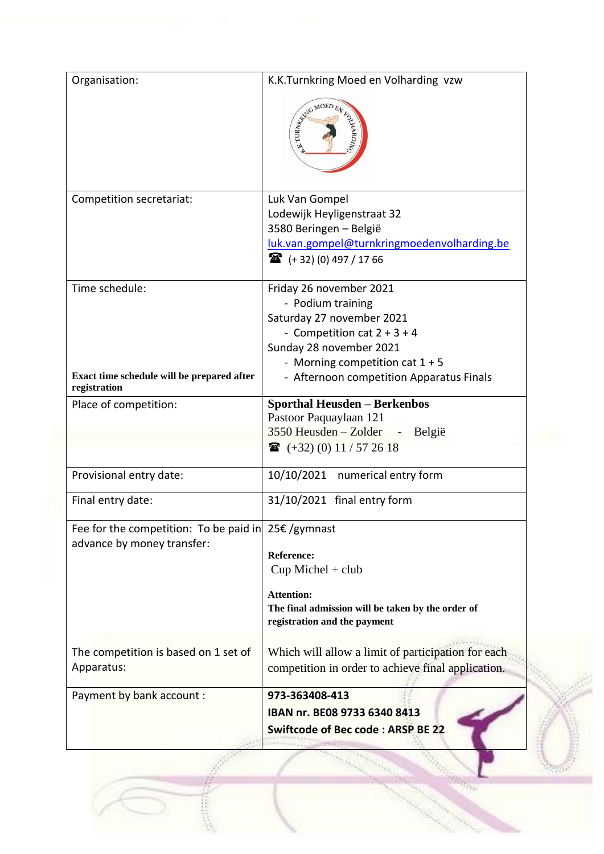| Organisation:                                                 | K.K.Turnkring Moed en Volharding vzw               |
|---------------------------------------------------------------|----------------------------------------------------|
|                                                               | AND MOED EV<br><b>GAARD</b>                        |
| Competition secretariat:                                      | Luk Van Gompel                                     |
|                                                               | Lodewijk Heyligenstraat 32                         |
|                                                               | 3580 Beringen - België                             |
|                                                               | luk.van.gompel@turnkringmoedenvolharding.be        |
|                                                               | $\mathbf{R}$ (+32) (0) 497 / 17 66                 |
| Time schedule:                                                | Friday 26 november 2021                            |
|                                                               | - Podium training                                  |
|                                                               | Saturday 27 november 2021                          |
|                                                               | - Competition cat $2 + 3 + 4$                      |
|                                                               | Sunday 28 november 2021                            |
|                                                               | - Morning competition cat $1 + 5$                  |
| Exact time schedule will be prepared after<br>registration    | - Afternoon competition Apparatus Finals           |
| Place of competition:                                         | <b>Sporthal Heusden - Berkenbos</b>                |
|                                                               | Pastoor Paquaylaan 121                             |
|                                                               | 3550 Heusden - Zolder - België                     |
|                                                               | $\bullet$ (+32) (0) 11 / 57 26 18                  |
| Provisional entry date:                                       | 10/10/2021 numerical entry form                    |
| Final entry date:                                             | 31/10/2021 final entry form                        |
| Fee for the competition: To be paid in $25 \epsilon$ /gymnast |                                                    |
| advance by money transfer:                                    | Reference:                                         |
|                                                               | $Cup$ Michel + club                                |
|                                                               | <b>Attention:</b>                                  |
|                                                               | The final admission will be taken by the order of  |
|                                                               | registration and the payment                       |
| The competition is based on 1 set of                          | Which will allow a limit of participation for each |
| Apparatus:                                                    | competition in order to achieve final application. |
| Payment by bank account :                                     | 973-363408-413                                     |
|                                                               | IBAN nr. BE08 9733 6340 8413                       |
|                                                               | <b>Swiftcode of Bec code: ARSP BE 22</b>           |
|                                                               |                                                    |
|                                                               |                                                    |

 $\frac{1}{2}$  , and

**Contractor** 

出现代数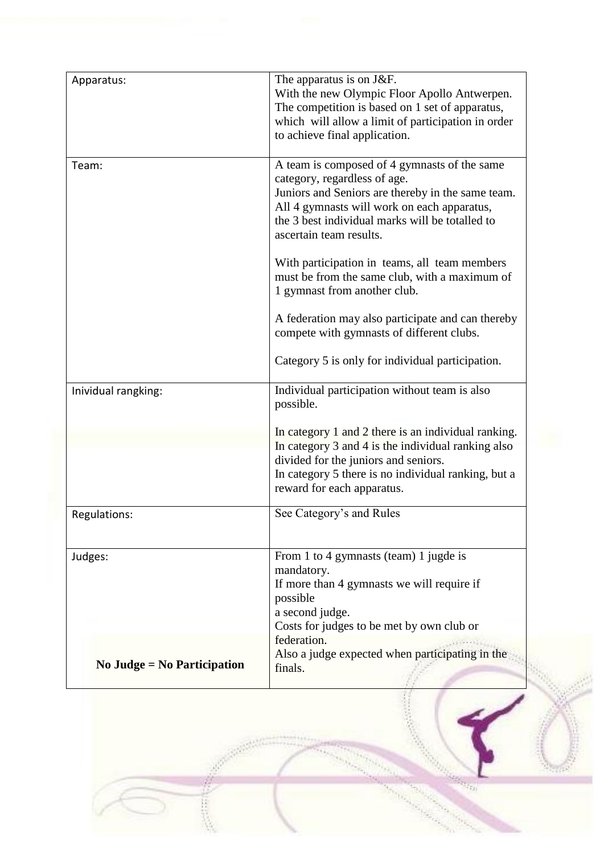| Apparatus:                    | The apparatus is on J&F.<br>With the new Olympic Floor Apollo Antwerpen.<br>The competition is based on 1 set of apparatus,<br>which will allow a limit of participation in order<br>to achieve final application.                                             |
|-------------------------------|----------------------------------------------------------------------------------------------------------------------------------------------------------------------------------------------------------------------------------------------------------------|
| Team:                         | A team is composed of 4 gymnasts of the same<br>category, regardless of age.<br>Juniors and Seniors are thereby in the same team.<br>All 4 gymnasts will work on each apparatus,<br>the 3 best individual marks will be totalled to<br>ascertain team results. |
|                               | With participation in teams, all team members<br>must be from the same club, with a maximum of<br>1 gymnast from another club.                                                                                                                                 |
|                               | A federation may also participate and can thereby<br>compete with gymnasts of different clubs.                                                                                                                                                                 |
|                               | Category 5 is only for individual participation.                                                                                                                                                                                                               |
| Inividual rangking:           | Individual participation without team is also<br>possible.                                                                                                                                                                                                     |
|                               | In category 1 and 2 there is an individual ranking.<br>In category 3 and 4 is the individual ranking also<br>divided for the juniors and seniors.<br>In category 5 there is no individual ranking, but a<br>reward for each apparatus.                         |
| Regulations:                  | See Category's and Rules                                                                                                                                                                                                                                       |
| Judges:                       | From 1 to 4 gymnasts (team) 1 jugde is<br>mandatory.<br>If more than 4 gymnasts we will require if<br>possible<br>a second judge.<br>Costs for judges to be met by own club or<br>federation.                                                                  |
| No Judge = $No$ Participation | Also a judge expected when participating in the<br>finals.                                                                                                                                                                                                     |

经非常干燥

<sup>a</sup> yanê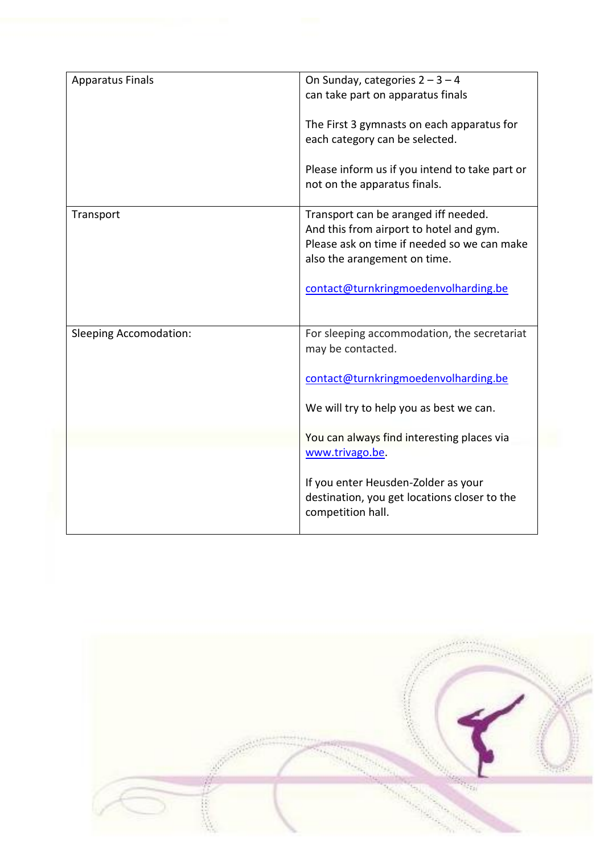| <b>Apparatus Finals</b>       | On Sunday, categories $2 - 3 - 4$<br>can take part on apparatus finals                                                                                         |
|-------------------------------|----------------------------------------------------------------------------------------------------------------------------------------------------------------|
|                               | The First 3 gymnasts on each apparatus for<br>each category can be selected.                                                                                   |
|                               | Please inform us if you intend to take part or<br>not on the apparatus finals.                                                                                 |
| Transport                     | Transport can be aranged iff needed.<br>And this from airport to hotel and gym.<br>Please ask on time if needed so we can make<br>also the arangement on time. |
|                               | contact@turnkringmoedenvolharding.be                                                                                                                           |
| <b>Sleeping Accomodation:</b> | For sleeping accommodation, the secretariat<br>may be contacted.                                                                                               |
|                               | contact@turnkringmoedenvolharding.be                                                                                                                           |
|                               | We will try to help you as best we can.                                                                                                                        |
|                               | You can always find interesting places via<br>www.trivago.be.                                                                                                  |
|                               | If you enter Heusden-Zolder as your<br>destination, you get locations closer to the<br>competition hall.                                                       |

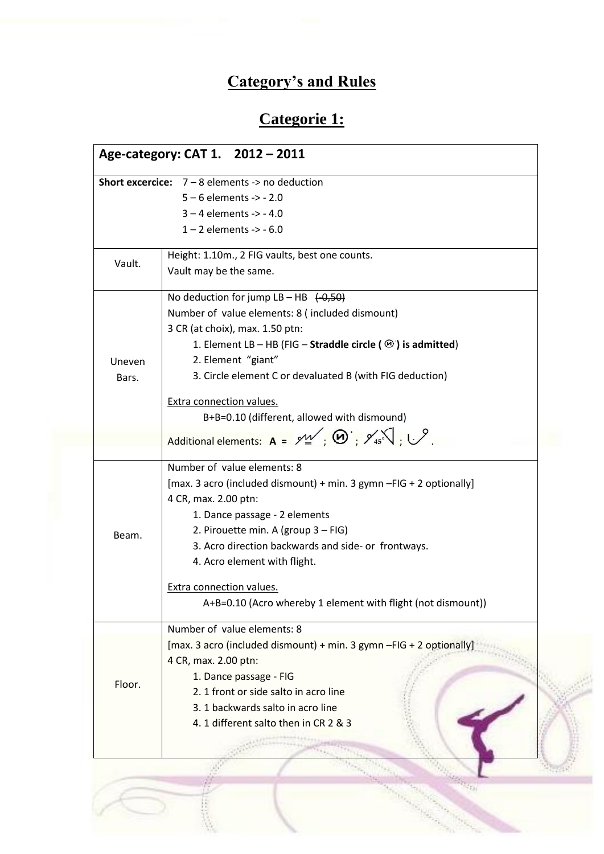# **Category's and Rules**

# **Categorie 1:**

|        | <b>Short excercice:</b> $7 - 8$ elements $\rightarrow$ no deduction                                  |  |  |
|--------|------------------------------------------------------------------------------------------------------|--|--|
|        | $5 - 6$ elements -> - 2.0                                                                            |  |  |
|        | $3 - 4$ elements -> -4.0                                                                             |  |  |
|        | $1 - 2$ elements -> - 6.0                                                                            |  |  |
|        |                                                                                                      |  |  |
| Vault. | Height: 1.10m., 2 FIG vaults, best one counts.                                                       |  |  |
|        | Vault may be the same.                                                                               |  |  |
|        | No deduction for jump $LB - HB$ $(-0.50)$                                                            |  |  |
|        | Number of value elements: 8 (included dismount)                                                      |  |  |
|        | 3 CR (at choix), max. 1.50 ptn:                                                                      |  |  |
|        | 1. Element LB – HB (FIG – Straddle circle ( $\circledcirc$ ) is admitted)                            |  |  |
| Uneven | 2. Element "giant"                                                                                   |  |  |
| Bars.  | 3. Circle element C or devaluated B (with FIG deduction)                                             |  |  |
|        | <b>Extra connection values.</b>                                                                      |  |  |
|        | B+B=0.10 (different, allowed with dismound)                                                          |  |  |
|        | Additional elements: $A = 9^{\frac{1}{2}}$ ; $\Theta = 9^{\frac{1}{2}}$ , $\Theta = 9^{\frac{1}{2}}$ |  |  |
|        |                                                                                                      |  |  |
|        | Number of value elements: 8                                                                          |  |  |
|        | [max. 3 acro (included dismount) + min. 3 gymn - FIG + 2 optionally]                                 |  |  |
|        | 4 CR, max. 2.00 ptn:                                                                                 |  |  |
|        | 1. Dance passage - 2 elements                                                                        |  |  |
| Beam.  | 2. Pirouette min. A (group 3 - FIG)                                                                  |  |  |
|        | 3. Acro direction backwards and side- or frontways.                                                  |  |  |
|        | 4. Acro element with flight.                                                                         |  |  |
|        | <b>Extra connection values.</b>                                                                      |  |  |
|        | A+B=0.10 (Acro whereby 1 element with flight (not dismount))                                         |  |  |
|        | Number of value elements: 8                                                                          |  |  |
|        | [max. 3 acro (included dismount) + min. 3 gymn -FIG + 2 optionally]                                  |  |  |
|        | 4 CR, max. 2.00 ptn:                                                                                 |  |  |
|        | 1. Dance passage - FIG                                                                               |  |  |
| Floor. | 2. 1 front or side salto in acro line                                                                |  |  |
|        | 3. 1 backwards salto in acro line                                                                    |  |  |
|        | 4. 1 different salto then in CR 2 & 3                                                                |  |  |
|        |                                                                                                      |  |  |

compage.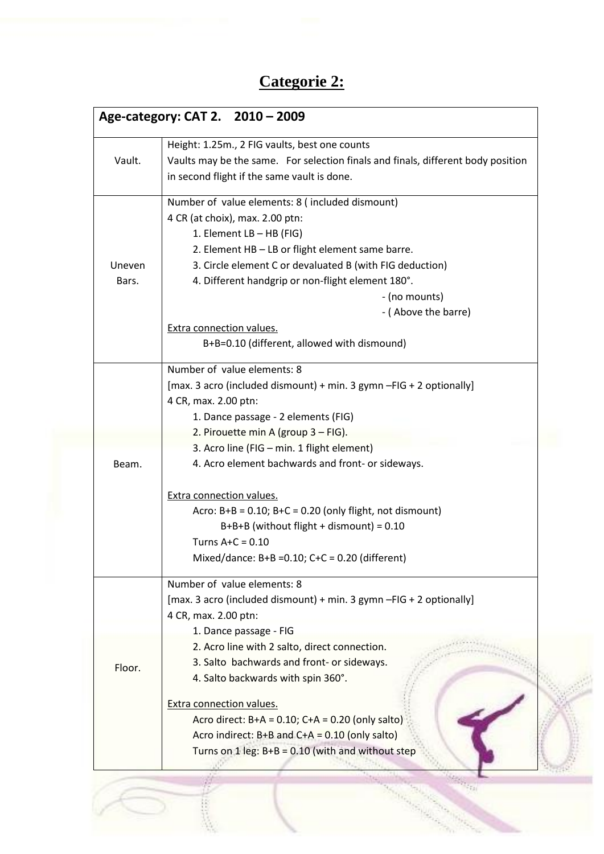### **Categorie 2:**

|        | Age-category: CAT 2. 2010 - 2009                                                 |
|--------|----------------------------------------------------------------------------------|
|        | Height: 1.25m., 2 FIG vaults, best one counts                                    |
| Vault. | Vaults may be the same. For selection finals and finals, different body position |
|        | in second flight if the same vault is done.                                      |
|        | Number of value elements: 8 (included dismount)                                  |
|        | 4 CR (at choix), max. 2.00 ptn:                                                  |
|        | 1. Element LB - HB (FIG)                                                         |
|        | 2. Element HB - LB or flight element same barre.                                 |
| Uneven | 3. Circle element C or devaluated B (with FIG deduction)                         |
| Bars.  | 4. Different handgrip or non-flight element 180°.                                |
|        | - (no mounts)                                                                    |
|        | - (Above the barre)                                                              |
|        | <b>Extra connection values.</b>                                                  |
|        | B+B=0.10 (different, allowed with dismound)                                      |
|        | Number of value elements: 8                                                      |
|        | [max. 3 acro (included dismount) + min. 3 gymn - FIG + 2 optionally]             |
|        | 4 CR, max. 2.00 ptn:                                                             |
|        | 1. Dance passage - 2 elements (FIG)                                              |
|        | 2. Pirouette min A (group 3 - FIG).                                              |
|        | 3. Acro line (FIG - min. 1 flight element)                                       |
| Beam.  | 4. Acro element bachwards and front- or sideways.                                |
|        | <b>Extra connection values.</b>                                                  |
|        | Acro: $B+B = 0.10$ ; $B+C = 0.20$ (only flight, not dismount)                    |
|        | $B+B+B$ (without flight + dismount) = 0.10                                       |
|        | Turns $A+C = 0.10$                                                               |
|        | Mixed/dance: $B+B = 0.10$ ; $C+C = 0.20$ (different)                             |
|        | Number of value elements: 8                                                      |
|        | [max. 3 acro (included dismount) + min. 3 gymn -FIG + 2 optionally]              |
|        | 4 CR, max. 2.00 ptn:                                                             |
|        | 1. Dance passage - FIG                                                           |
|        | 2. Acro line with 2 salto, direct connection.                                    |
| Floor. | 3. Salto bachwards and front- or sideways.                                       |
|        | 4. Salto backwards with spin 360°.                                               |
|        | Extra connection values.                                                         |
|        | Acro direct: $B+A = 0.10$ ; $C+A = 0.20$ (only salto)                            |
|        | Acro indirect: $B+B$ and $C+A = 0.10$ (only salto)                               |
|        | Turns on $1 \text{ leg}$ : B+B = 0.10 (with and without step                     |
|        |                                                                                  |
|        |                                                                                  |
|        |                                                                                  |
|        |                                                                                  |

b. ing Kabupatèn Kaléndher Ka

an participan

 $47218$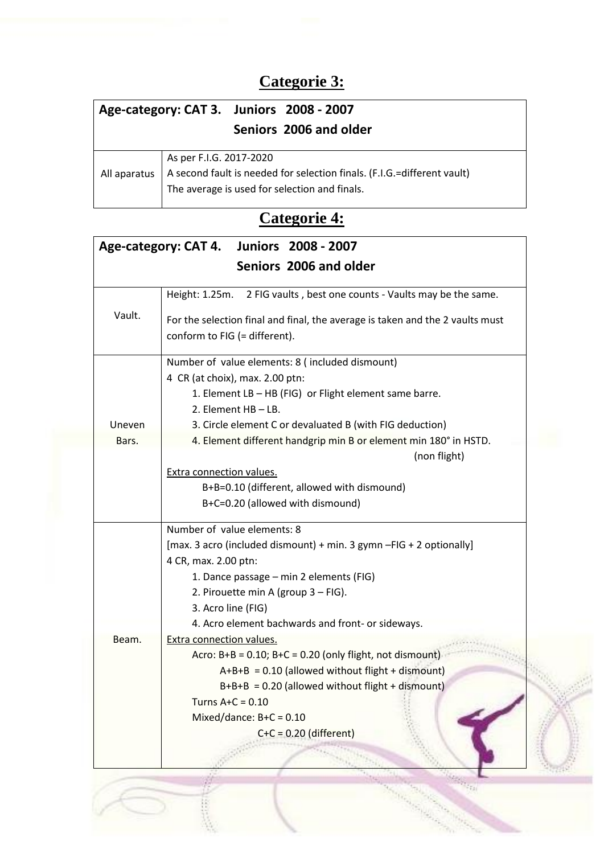### **Categorie 3:**

| Age-category: CAT 3. Juniors 2008 - 2007 |                                                                                                                                                     |  |
|------------------------------------------|-----------------------------------------------------------------------------------------------------------------------------------------------------|--|
|                                          | Seniors 2006 and older                                                                                                                              |  |
| All aparatus                             | As per F.I.G. 2017-2020<br>A second fault is needed for selection finals. (F.I.G.=different vault)<br>The average is used for selection and finals. |  |

### **Categorie 4:**

|                 | Age-category: CAT 4.<br><b>Juniors 2008 - 2007</b>                                                                                                                                                          |  |
|-----------------|-------------------------------------------------------------------------------------------------------------------------------------------------------------------------------------------------------------|--|
|                 | Seniors 2006 and older                                                                                                                                                                                      |  |
|                 | 2 FIG vaults, best one counts - Vaults may be the same.<br>Height: 1.25m.                                                                                                                                   |  |
| Vault.          | For the selection final and final, the average is taken and the 2 vaults must<br>conform to FIG (= different).                                                                                              |  |
|                 | Number of value elements: 8 (included dismount)<br>4 CR (at choix), max. 2.00 ptn:                                                                                                                          |  |
|                 | 1. Element LB - HB (FIG) or Flight element same barre.<br>2. Element HB - LB.                                                                                                                               |  |
| Uneven<br>Bars. | 3. Circle element C or devaluated B (with FIG deduction)<br>4. Element different handgrip min B or element min 180° in HSTD.<br>(non flight)                                                                |  |
|                 | Extra connection values.<br>B+B=0.10 (different, allowed with dismound)<br>B+C=0.20 (allowed with dismound)                                                                                                 |  |
|                 | Number of value elements: 8<br>[max. 3 acro (included dismount) + min. 3 gymn - FIG + 2 optionally]<br>4 CR, max. 2.00 ptn:                                                                                 |  |
|                 | 1. Dance passage - min 2 elements (FIG)<br>2. Pirouette min A (group 3 - FIG).<br>3. Acro line (FIG)                                                                                                        |  |
| Beam.           | 4. Acro element bachwards and front- or sideways.<br><b>Extra connection values.</b><br>Acro: $B+B = 0.10$ ; $B+C = 0.20$ (only flight, not dismount)<br>$A+B+B = 0.10$ (allowed without flight + dismount) |  |
|                 | $B+B+B = 0.20$ (allowed without flight + dismount)<br>Turns $A+C = 0.10$<br>Mixed/dance: $B+C = 0.10$<br>$C+C = 0.20$ (different)                                                                           |  |
|                 |                                                                                                                                                                                                             |  |
|                 |                                                                                                                                                                                                             |  |
|                 |                                                                                                                                                                                                             |  |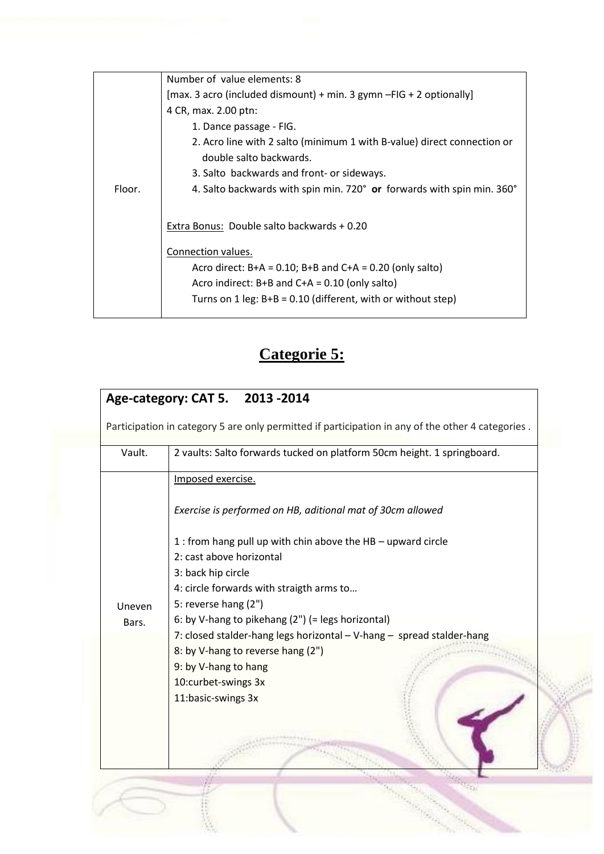|        | Number of value elements: 8                                                                        |  |  |
|--------|----------------------------------------------------------------------------------------------------|--|--|
|        | [max. 3 acro (included dismount) + min. 3 gymn $-FIG + 2$ optionally]                              |  |  |
|        | 4 CR, max. 2.00 ptn:                                                                               |  |  |
|        | 1. Dance passage - FIG.                                                                            |  |  |
|        | 2. Acro line with 2 salto (minimum 1 with B-value) direct connection or<br>double salto backwards. |  |  |
|        | 3. Salto backwards and front- or sideways.                                                         |  |  |
| Floor. | 4. Salto backwards with spin min. 720° or forwards with spin min. 360°                             |  |  |
|        |                                                                                                    |  |  |
|        | Extra Bonus: Double salto backwards + 0.20                                                         |  |  |
|        | Connection values.                                                                                 |  |  |
|        | Acro direct: $B+A = 0.10$ ; $B+B$ and $C+A = 0.20$ (only salto)                                    |  |  |
|        | Acro indirect: $B+B$ and $C+A = 0.10$ (only salto)                                                 |  |  |
|        | Turns on 1 leg: $B+B = 0.10$ (different, with or without step)                                     |  |  |
|        |                                                                                                    |  |  |

# **Categorie 5:**

| Vault. | 2 vaults: Salto forwards tucked on platform 50cm height. 1 springboard. |  |
|--------|-------------------------------------------------------------------------|--|
|        | Imposed exercise.                                                       |  |
|        | Exercise is performed on HB, aditional mat of 30cm allowed              |  |
|        | 1 : from hang pull up with chin above the HB - upward circle            |  |
|        | 2: cast above horizontal                                                |  |
|        | 3: back hip circle                                                      |  |
|        | 4: circle forwards with straigth arms to                                |  |
| Uneven | 5: reverse hang (2")                                                    |  |
| Bars.  | 6: by V-hang to pikehang (2") (= legs horizontal)                       |  |
|        | 7: closed stalder-hang legs horizontal - V-hang - spread stalder-hang   |  |
|        | 8: by V-hang to reverse hang (2")                                       |  |
|        | 9: by V-hang to hang                                                    |  |
|        | 10:curbet-swings 3x                                                     |  |
|        | 11:basic-swings 3x                                                      |  |
|        |                                                                         |  |
|        |                                                                         |  |
|        |                                                                         |  |

 $\mathcal{D}_{\mathcal{C}}$